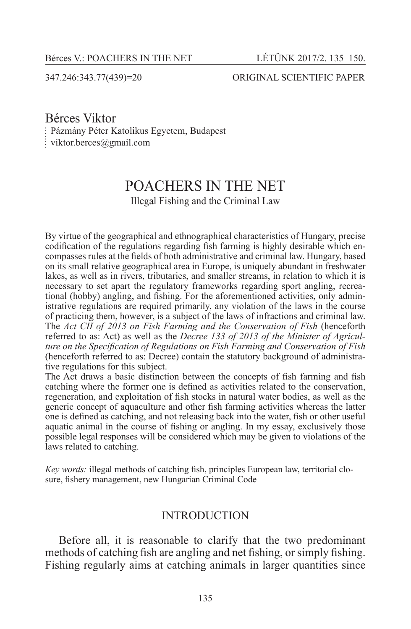#### 347.246:343.77(439)=20 ORIGINAL SCIENTIFIC PAPER

# Bérces Viktor

Pázmány Péter Katolikus Egyetem, Budapest

viktor.berces@gmail.com

# POACHERS IN THE NET

Illegal Fishing and the Criminal Law

By virtue of the geographical and ethnographical characteristics of Hungary, precise codification of the regulations regarding fish farming is highly desirable which encompasses rules at the fields of both administrative and criminal law. Hungary, based on its small relative geographical area in Europe, is uniquely abundant in freshwater lakes, as well as in rivers, tributaries, and smaller streams, in relation to which it is necessary to set apart the regulatory frameworks regarding sport angling, recreational (hobby) angling, and fishing. For the aforementioned activities, only administrative regulations are required primarily, any violation of the laws in the course of practicing them, however, is a subject of the laws of infractions and criminal law. The *Act CII of 2013 on Fish Farming and the Conservation of Fish* (henceforth referred to as: Act) as well as the *Decree 133 of 2013 of the Minister of Agriculture on the Specification of Regulations on Fish Farming and Conservation of Fish* (henceforth referred to as: Decree) contain the statutory background of administrative regulations for this subject.

The Act draws a basic distinction between the concepts of fish farming and fish catching where the former one is defined as activities related to the conservation, regeneration, and exploitation of fish stocks in natural water bodies, as well as the generic concept of aquaculture and other fish farming activities whereas the latter one is defined as catching, and not releasing back into the water, fish or other useful aquatic animal in the course of fishing or angling. In my essay, exclusively those possible legal responses will be considered which may be given to violations of the laws related to catching.

*Key words:* illegal methods of catching fish, principles European law, territorial closure, fishery management, new Hungarian Criminal Code

#### **INTRODUCTION**

Before all, it is reasonable to clarify that the two predominant methods of catching fish are angling and net fishing, or simply fishing. Fishing regularly aims at catching animals in larger quantities since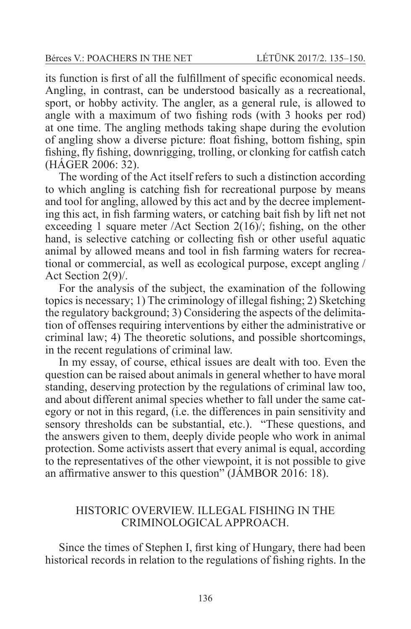its function is first of all the fulfillment of specific economical needs. Angling, in contrast, can be understood basically as a recreational, sport, or hobby activity. The angler, as a general rule, is allowed to angle with a maximum of two fishing rods (with 3 hooks per rod) at one time. The angling methods taking shape during the evolution of angling show a diverse picture: float fishing, bottom fishing, spin fishing, fly fishing, downrigging, trolling, or clonking for catfish catch (HÁGER 2006: 32).

The wording of the Act itself refers to such a distinction according to which angling is catching fish for recreational purpose by means and tool for angling, allowed by this act and by the decree implementing this act, in fish farming waters, or catching bait fish by lift net not exceeding 1 square meter /Act Section  $2(16)$ ; fishing, on the other hand, is selective catching or collecting fish or other useful aquatic animal by allowed means and tool in fish farming waters for recreational or commercial, as well as ecological purpose, except angling / Act Section 2(9)/.

For the analysis of the subject, the examination of the following topics is necessary; 1) The criminology of illegal fishing; 2) Sketching the regulatory background; 3) Considering the aspects of the delimitation of offenses requiring interventions by either the administrative or criminal law; 4) The theoretic solutions, and possible shortcomings, in the recent regulations of criminal law.

In my essay, of course, ethical issues are dealt with too. Even the question can be raised about animals in general whether to have moral standing, deserving protection by the regulations of criminal law too, and about different animal species whether to fall under the same category or not in this regard, (i.e. the differences in pain sensitivity and sensory thresholds can be substantial, etc.). "These questions, and the answers given to them, deeply divide people who work in animal protection. Some activists assert that every animal is equal, according to the representatives of the other viewpoint, it is not possible to give an affirmative answer to this question" (JÁMBOR 2016: 18).

# HISTORIC OVERVIEW. ILLEGAL FISHING IN THE CRIMINOLOGICAL APPROACH.

Since the times of Stephen I, first king of Hungary, there had been historical records in relation to the regulations of fishing rights. In the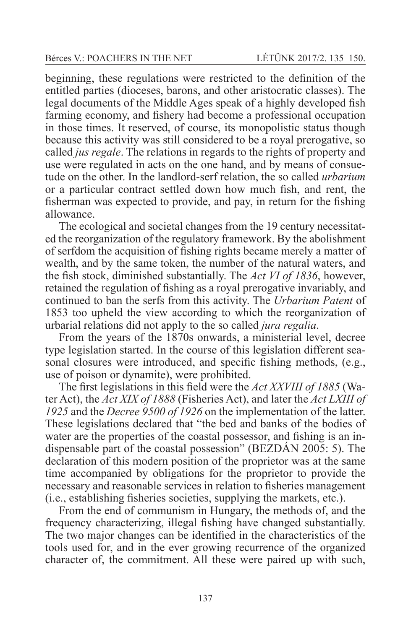beginning, these regulations were restricted to the definition of the entitled parties (dioceses, barons, and other aristocratic classes). The legal documents of the Middle Ages speak of a highly developed fish farming economy, and fishery had become a professional occupation in those times. It reserved, of course, its monopolistic status though because this activity was still considered to be a royal prerogative, so called *jus regale*. The relations in regards to the rights of property and use were regulated in acts on the one hand, and by means of consuetude on the other. In the landlord-serf relation, the so called *urbarium* or a particular contract settled down how much fish, and rent, the fisherman was expected to provide, and pay, in return for the fishing allowance.

The ecological and societal changes from the 19 century necessitated the reorganization of the regulatory framework. By the abolishment of serfdom the acquisition of fishing rights became merely a matter of wealth, and by the same token, the number of the natural waters, and the fish stock, diminished substantially. The *Act VI of 1836*, however, retained the regulation of fishing as a royal prerogative invariably, and continued to ban the serfs from this activity. The *Urbarium Patent* of 1853 too upheld the view according to which the reorganization of urbarial relations did not apply to the so called *jura regalia*.

From the years of the 1870s onwards, a ministerial level, decree type legislation started. In the course of this legislation different seasonal closures were introduced, and specific fishing methods, (e.g., use of poison or dynamite), were prohibited.

The first legislations in this field were the *Act XXVIII of 1885* (Water Act), the *Act XIX of 1888* (Fisheries Act), and later the *Act LXIII of 1925* and the *Decree 9500 of 1926* on the implementation of the latter. These legislations declared that "the bed and banks of the bodies of water are the properties of the coastal possessor, and fishing is an indispensable part of the coastal possession" (BEZDÁN 2005: 5). The declaration of this modern position of the proprietor was at the same time accompanied by obligations for the proprietor to provide the necessary and reasonable services in relation to fisheries management (i.e., establishing fisheries societies, supplying the markets, etc.).

From the end of communism in Hungary, the methods of, and the frequency characterizing, illegal fishing have changed substantially. The two major changes can be identified in the characteristics of the tools used for, and in the ever growing recurrence of the organized character of, the commitment. All these were paired up with such,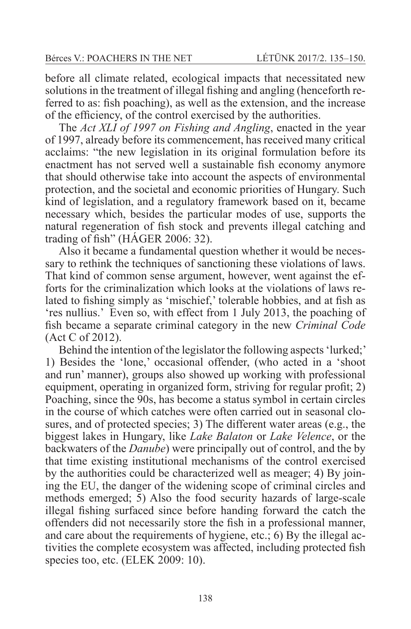before all climate related, ecological impacts that necessitated new solutions in the treatment of illegal fishing and angling (henceforth referred to as: fish poaching), as well as the extension, and the increase of the efficiency, of the control exercised by the authorities.

The *Act XLI of 1997 on Fishing and Angling*, enacted in the year of 1997, already before its commencement, has received many critical acclaims: "the new legislation in its original formulation before its enactment has not served well a sustainable fish economy anymore that should otherwise take into account the aspects of environmental protection, and the societal and economic priorities of Hungary. Such kind of legislation, and a regulatory framework based on it, became necessary which, besides the particular modes of use, supports the natural regeneration of fish stock and prevents illegal catching and trading of fish" (HÁGER 2006: 32).

Also it became a fundamental question whether it would be necessary to rethink the techniques of sanctioning these violations of laws. That kind of common sense argument, however, went against the efforts for the criminalization which looks at the violations of laws related to fishing simply as 'mischief,' tolerable hobbies, and at fish as 'res nullius.' Even so, with effect from 1 July 2013, the poaching of fish became a separate criminal category in the new *Criminal Code* (Act C of 2012).

Behind the intention of the legislator the following aspects 'lurked;' 1) Besides the 'lone,' occasional offender, (who acted in a 'shoot and run' manner), groups also showed up working with professional equipment, operating in organized form, striving for regular profit; 2) Poaching, since the 90s, has become a status symbol in certain circles in the course of which catches were often carried out in seasonal closures, and of protected species; 3) The different water areas (e.g., the biggest lakes in Hungary, like *Lake Balaton* or *Lake Velence*, or the backwaters of the *Danube*) were principally out of control, and the by that time existing institutional mechanisms of the control exercised by the authorities could be characterized well as meager; 4) By joining the EU, the danger of the widening scope of criminal circles and methods emerged; 5) Also the food security hazards of large-scale illegal fishing surfaced since before handing forward the catch the offenders did not necessarily store the fish in a professional manner, and care about the requirements of hygiene, etc.; 6) By the illegal activities the complete ecosystem was affected, including protected fish species too, etc. (ELEK 2009: 10).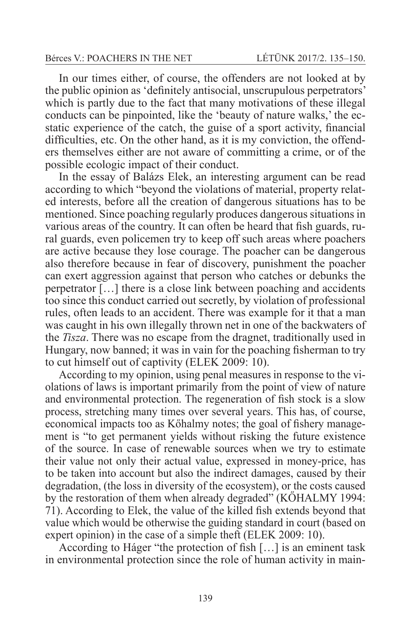In our times either, of course, the offenders are not looked at by the public opinion as 'definitely antisocial, unscrupulous perpetrators' which is partly due to the fact that many motivations of these illegal conducts can be pinpointed, like the 'beauty of nature walks,' the ecstatic experience of the catch, the guise of a sport activity, financial difficulties, etc. On the other hand, as it is my conviction, the offenders themselves either are not aware of committing a crime, or of the possible ecologic impact of their conduct.

In the essay of Balázs Elek, an interesting argument can be read according to which "beyond the violations of material, property related interests, before all the creation of dangerous situations has to be mentioned. Since poaching regularly produces dangerous situations in various areas of the country. It can often be heard that fish guards, rural guards, even policemen try to keep off such areas where poachers are active because they lose courage. The poacher can be dangerous also therefore because in fear of discovery, punishment the poacher can exert aggression against that person who catches or debunks the perpetrator […] there is a close link between poaching and accidents too since this conduct carried out secretly, by violation of professional rules, often leads to an accident. There was example for it that a man was caught in his own illegally thrown net in one of the backwaters of the *Tisza*. There was no escape from the dragnet, traditionally used in Hungary, now banned; it was in vain for the poaching fisherman to try to cut himself out of captivity (ELEK 2009: 10).

According to my opinion, using penal measures in response to the violations of laws is important primarily from the point of view of nature and environmental protection. The regeneration of fish stock is a slow process, stretching many times over several years. This has, of course, economical impacts too as Kőhalmy notes; the goal of fishery management is "to get permanent yields without risking the future existence of the source. In case of renewable sources when we try to estimate their value not only their actual value, expressed in money-price, has to be taken into account but also the indirect damages, caused by their degradation, (the loss in diversity of the ecosystem), or the costs caused by the restoration of them when already degraded" (KŐHALMY 1994: 71). According to Elek, the value of the killed fish extends beyond that value which would be otherwise the guiding standard in court (based on expert opinion) in the case of a simple theft (ELEK 2009: 10).

According to Háger "the protection of fish […] is an eminent task in environmental protection since the role of human activity in main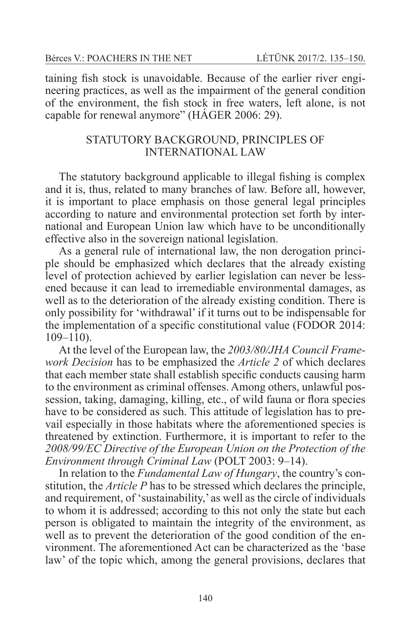taining fish stock is unavoidable. Because of the earlier river engineering practices, as well as the impairment of the general condition of the environment, the fish stock in free waters, left alone, is not capable for renewal anymore" (HÁGER 2006: 29).

# STATUTORY BACKGROUND, PRINCIPLES OF INTERNATIONAL LAW

The statutory background applicable to illegal fishing is complex and it is, thus, related to many branches of law. Before all, however, it is important to place emphasis on those general legal principles according to nature and environmental protection set forth by international and European Union law which have to be unconditionally effective also in the sovereign national legislation.

As a general rule of international law, the non derogation principle should be emphasized which declares that the already existing level of protection achieved by earlier legislation can never be lessened because it can lead to irremediable environmental damages, as well as to the deterioration of the already existing condition. There is only possibility for 'withdrawal' if it turns out to be indispensable for the implementation of a specific constitutional value (FODOR 2014: 109–110).

At the level of the European law, the *2003/80/JHA Council Framework Decision* has to be emphasized the *Article 2* of which declares that each member state shall establish specific conducts causing harm to the environment as criminal offenses. Among others, unlawful possession, taking, damaging, killing, etc., of wild fauna or flora species have to be considered as such. This attitude of legislation has to prevail especially in those habitats where the aforementioned species is threatened by extinction. Furthermore, it is important to refer to the *2008/99/EC Directive of the European Union on the Protection of the Environment through Criminal Law* (POLT 2003: 9–14).

In relation to the *Fundamental Law of Hungary*, the country's constitution, the *Article P* has to be stressed which declares the principle, and requirement, of 'sustainability,' as well as the circle of individuals to whom it is addressed; according to this not only the state but each person is obligated to maintain the integrity of the environment, as well as to prevent the deterioration of the good condition of the environment. The aforementioned Act can be characterized as the 'base law' of the topic which, among the general provisions, declares that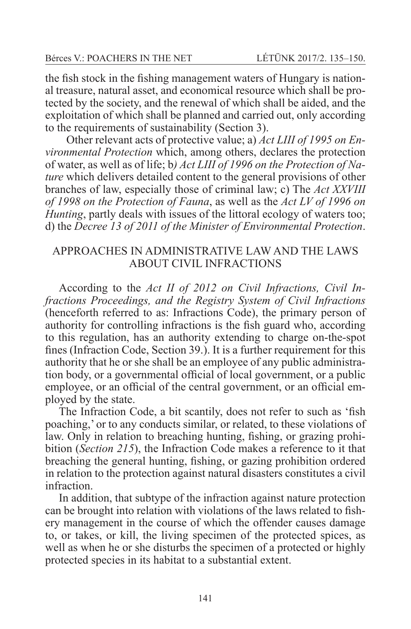the fish stock in the fishing management waters of Hungary is national treasure, natural asset, and economical resource which shall be protected by the society, and the renewal of which shall be aided, and the exploitation of which shall be planned and carried out, only according to the requirements of sustainability (Section 3).

 Other relevant acts of protective value; a) *Act LIII of 1995 on Environmental Protection* which, among others, declares the protection of water, as well as of life; b*) Act LIII of 1996 on the Protection of Nature* which delivers detailed content to the general provisions of other branches of law, especially those of criminal law; c) The *Act XXVIII of 1998 on the Protection of Fauna*, as well as the *Act LV of 1996 on Hunting*, partly deals with issues of the littoral ecology of waters too; d) the *Decree 13 of 2011 of the Minister of Environmental Protection*.

# APPROACHES IN ADMINISTRATIVE LAW AND THE LAWS ABOUT CIVIL INFRACTIONS

According to the *Act II of 2012 on Civil Infractions, Civil Infractions Proceedings, and the Registry System of Civil Infractions* (henceforth referred to as: Infractions Code), the primary person of authority for controlling infractions is the fish guard who, according to this regulation, has an authority extending to charge on-the-spot fines (Infraction Code, Section 39.). It is a further requirement for this authority that he or she shall be an employee of any public administration body, or a governmental official of local government, or a public employee, or an official of the central government, or an official employed by the state.

The Infraction Code, a bit scantily, does not refer to such as 'fish poaching,' or to any conducts similar, or related, to these violations of law. Only in relation to breaching hunting, fishing, or grazing prohibition (*Section 215*), the Infraction Code makes a reference to it that breaching the general hunting, fishing, or gazing prohibition ordered in relation to the protection against natural disasters constitutes a civil infraction.

In addition, that subtype of the infraction against nature protection can be brought into relation with violations of the laws related to fishery management in the course of which the offender causes damage to, or takes, or kill, the living specimen of the protected spices, as well as when he or she disturbs the specimen of a protected or highly protected species in its habitat to a substantial extent.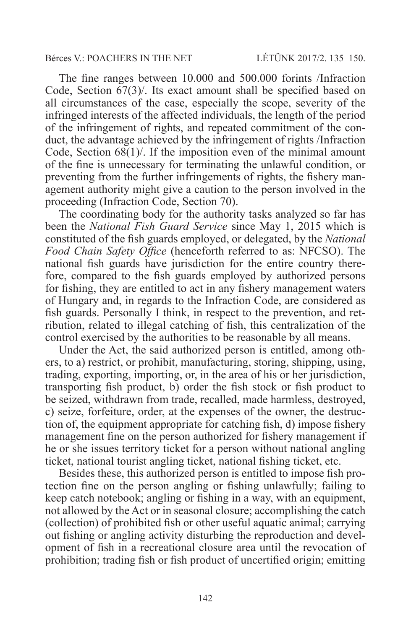The fine ranges between 10.000 and 500.000 forints /Infraction Code, Section 67(3)/. Its exact amount shall be specified based on all circumstances of the case, especially the scope, severity of the infringed interests of the affected individuals, the length of the period of the infringement of rights, and repeated commitment of the conduct, the advantage achieved by the infringement of rights /Infraction Code, Section 68(1)/. If the imposition even of the minimal amount of the fine is unnecessary for terminating the unlawful condition, or preventing from the further infringements of rights, the fishery management authority might give a caution to the person involved in the proceeding (Infraction Code, Section 70).

The coordinating body for the authority tasks analyzed so far has been the *National Fish Guard Service* since May 1, 2015 which is constituted of the fish guards employed, or delegated, by the *National Food Chain Safety Office* (henceforth referred to as: NFCSO). The national fish guards have jurisdiction for the entire country therefore, compared to the fish guards employed by authorized persons for fishing, they are entitled to act in any fishery management waters of Hungary and, in regards to the Infraction Code, are considered as fish guards. Personally I think, in respect to the prevention, and retribution, related to illegal catching of fish, this centralization of the control exercised by the authorities to be reasonable by all means.

Under the Act, the said authorized person is entitled, among others, to a) restrict, or prohibit, manufacturing, storing, shipping, using, trading, exporting, importing, or, in the area of his or her jurisdiction, transporting fish product, b) order the fish stock or fish product to be seized, withdrawn from trade, recalled, made harmless, destroyed, c) seize, forfeiture, order, at the expenses of the owner, the destruction of, the equipment appropriate for catching fish, d) impose fishery management fine on the person authorized for fishery management if he or she issues territory ticket for a person without national angling ticket, national tourist angling ticket, national fishing ticket, etc.

Besides these, this authorized person is entitled to impose fish protection fine on the person angling or fishing unlawfully; failing to keep catch notebook; angling or fishing in a way, with an equipment, not allowed by the Act or in seasonal closure; accomplishing the catch (collection) of prohibited fish or other useful aquatic animal; carrying out fishing or angling activity disturbing the reproduction and development of fish in a recreational closure area until the revocation of prohibition; trading fish or fish product of uncertified origin; emitting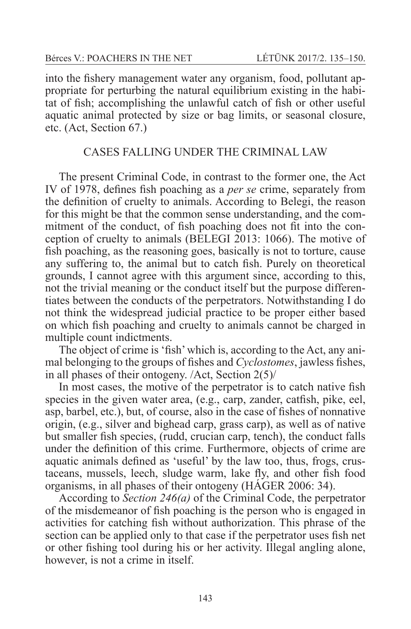into the fishery management water any organism, food, pollutant appropriate for perturbing the natural equilibrium existing in the habitat of fish; accomplishing the unlawful catch of fish or other useful aquatic animal protected by size or bag limits, or seasonal closure, etc. (Act, Section 67.)

# CASES FALLING UNDER THE CRIMINAL LAW

The present Criminal Code, in contrast to the former one, the Act IV of 1978, defines fish poaching as a *per se* crime, separately from the definition of cruelty to animals. According to Belegi, the reason for this might be that the common sense understanding, and the commitment of the conduct, of fish poaching does not fit into the conception of cruelty to animals (BELEGI 2013: 1066). The motive of fish poaching, as the reasoning goes, basically is not to torture, cause any suffering to, the animal but to catch fish. Purely on theoretical grounds, I cannot agree with this argument since, according to this, not the trivial meaning or the conduct itself but the purpose differentiates between the conducts of the perpetrators. Notwithstanding I do not think the widespread judicial practice to be proper either based on which fish poaching and cruelty to animals cannot be charged in multiple count indictments.

The object of crime is 'fish' which is, according to the Act, any animal belonging to the groups of fishes and *Cyclostomes*, jawless fishes, in all phases of their ontogeny. /Act, Section 2(5)/

In most cases, the motive of the perpetrator is to catch native fish species in the given water area, (e.g., carp, zander, catfish, pike, eel, asp, barbel, etc.), but, of course, also in the case of fishes of nonnative origin, (e.g., silver and bighead carp, grass carp), as well as of native but smaller fish species, (rudd, crucian carp, tench), the conduct falls under the definition of this crime. Furthermore, objects of crime are aquatic animals defined as 'useful' by the law too, thus, frogs, crustaceans, mussels, leech, sludge warm, lake fly, and other fish food organisms, in all phases of their ontogeny (HÁGER 2006: 34).

According to *Section 246(a)* of the Criminal Code, the perpetrator of the misdemeanor of fish poaching is the person who is engaged in activities for catching fish without authorization. This phrase of the section can be applied only to that case if the perpetrator uses fish net or other fishing tool during his or her activity. Illegal angling alone, however, is not a crime in itself.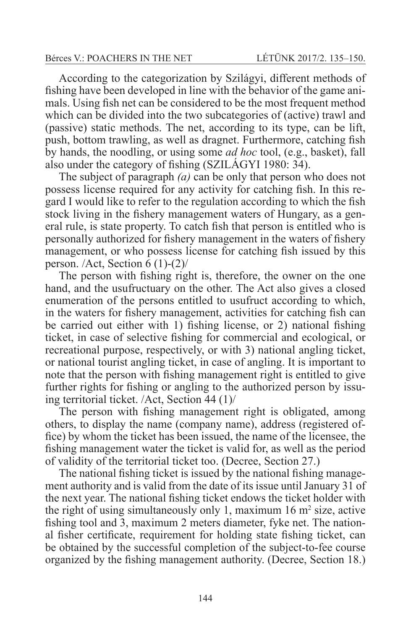According to the categorization by Szilágyi, different methods of fishing have been developed in line with the behavior of the game animals. Using fish net can be considered to be the most frequent method which can be divided into the two subcategories of (active) trawl and (passive) static methods. The net, according to its type, can be lift, push, bottom trawling, as well as dragnet. Furthermore, catching fish by hands, the noodling, or using some *ad hoc* tool, (e.g., basket), fall also under the category of fishing (SZILÁGYI 1980: 34).

The subject of paragraph *(a)* can be only that person who does not possess license required for any activity for catching fish. In this regard I would like to refer to the regulation according to which the fish stock living in the fishery management waters of Hungary, as a general rule, is state property. To catch fish that person is entitled who is personally authorized for fishery management in the waters of fishery management, or who possess license for catching fish issued by this person. /Act, Section 6 (1)-(2)/

The person with fishing right is, therefore, the owner on the one hand, and the usufructuary on the other. The Act also gives a closed enumeration of the persons entitled to usufruct according to which, in the waters for fishery management, activities for catching fish can be carried out either with 1) fishing license, or 2) national fishing ticket, in case of selective fishing for commercial and ecological, or recreational purpose, respectively, or with 3) national angling ticket, or national tourist angling ticket, in case of angling. It is important to note that the person with fishing management right is entitled to give further rights for fishing or angling to the authorized person by issuing territorial ticket. /Act, Section 44 (1)/

The person with fishing management right is obligated, among others, to display the name (company name), address (registered office) by whom the ticket has been issued, the name of the licensee, the fishing management water the ticket is valid for, as well as the period of validity of the territorial ticket too. (Decree, Section 27.)

The national fishing ticket is issued by the national fishing management authority and is valid from the date of its issue until January 31 of the next year. The national fishing ticket endows the ticket holder with the right of using simultaneously only 1, maximum  $16 \text{ m}^2$  size, active fishing tool and 3, maximum 2 meters diameter, fyke net. The national fisher certificate, requirement for holding state fishing ticket, can be obtained by the successful completion of the subject-to-fee course organized by the fishing management authority. (Decree, Section 18.)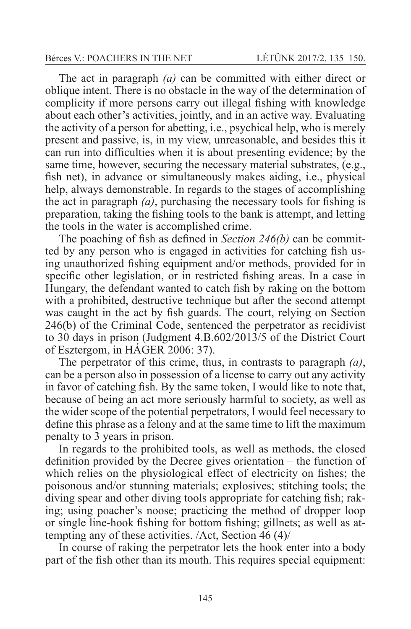The act in paragraph *(a)* can be committed with either direct or oblique intent. There is no obstacle in the way of the determination of complicity if more persons carry out illegal fishing with knowledge about each other's activities, jointly, and in an active way. Evaluating the activity of a person for abetting, i.e., psychical help, who is merely present and passive, is, in my view, unreasonable, and besides this it can run into difficulties when it is about presenting evidence; by the same time, however, securing the necessary material substrates, (e.g., fish net), in advance or simultaneously makes aiding, i.e., physical help, always demonstrable. In regards to the stages of accomplishing the act in paragraph *(a)*, purchasing the necessary tools for fishing is preparation, taking the fishing tools to the bank is attempt, and letting the tools in the water is accomplished crime.

The poaching of fish as defined in *Section 246(b)* can be committed by any person who is engaged in activities for catching fish using unauthorized fishing equipment and/or methods, provided for in specific other legislation, or in restricted fishing areas. In a case in Hungary, the defendant wanted to catch fish by raking on the bottom with a prohibited, destructive technique but after the second attempt was caught in the act by fish guards. The court, relying on Section 246(b) of the Criminal Code, sentenced the perpetrator as recidivist to 30 days in prison (Judgment 4.B.602/2013/5 of the District Court of Esztergom, in HÁGER 2006: 37).

The perpetrator of this crime, thus, in contrasts to paragraph *(a)*, can be a person also in possession of a license to carry out any activity in favor of catching fish. By the same token, I would like to note that, because of being an act more seriously harmful to society, as well as the wider scope of the potential perpetrators, I would feel necessary to define this phrase as a felony and at the same time to lift the maximum penalty to 3 years in prison.

In regards to the prohibited tools, as well as methods, the closed definition provided by the Decree gives orientation – the function of which relies on the physiological effect of electricity on fishes; the poisonous and/or stunning materials; explosives; stitching tools; the diving spear and other diving tools appropriate for catching fish; raking; using poacher's noose; practicing the method of dropper loop or single line-hook fishing for bottom fishing; gillnets; as well as attempting any of these activities. /Act, Section 46 (4)/

In course of raking the perpetrator lets the hook enter into a body part of the fish other than its mouth. This requires special equipment: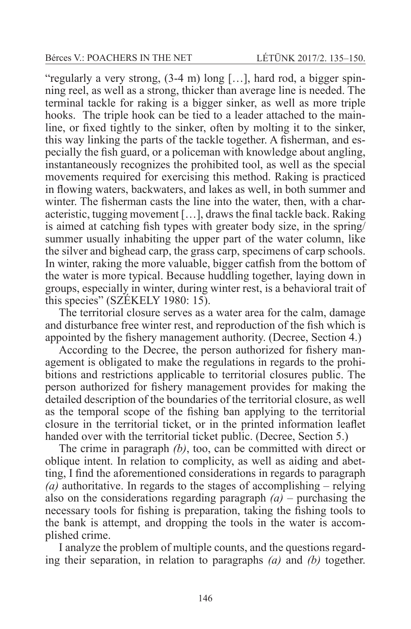"regularly a very strong, (3-4 m) long […], hard rod, a bigger spinning reel, as well as a strong, thicker than average line is needed. The terminal tackle for raking is a bigger sinker, as well as more triple hooks. The triple hook can be tied to a leader attached to the mainline, or fixed tightly to the sinker, often by molting it to the sinker, this way linking the parts of the tackle together. A fisherman, and especially the fish guard, or a policeman with knowledge about angling, instantaneously recognizes the prohibited tool, as well as the special movements required for exercising this method. Raking is practiced in flowing waters, backwaters, and lakes as well, in both summer and winter. The fisherman casts the line into the water, then, with a characteristic, tugging movement […], draws the final tackle back. Raking is aimed at catching fish types with greater body size, in the spring/ summer usually inhabiting the upper part of the water column, like the silver and bighead carp, the grass carp, specimens of carp schools. In winter, raking the more valuable, bigger catfish from the bottom of the water is more typical. Because huddling together, laying down in groups, especially in winter, during winter rest, is a behavioral trait of this species" (SZÉKELY 1980: 15).

The territorial closure serves as a water area for the calm, damage and disturbance free winter rest, and reproduction of the fish which is appointed by the fishery management authority. (Decree, Section 4.)

According to the Decree, the person authorized for fishery management is obligated to make the regulations in regards to the prohibitions and restrictions applicable to territorial closures public. The person authorized for fishery management provides for making the detailed description of the boundaries of the territorial closure, as well as the temporal scope of the fishing ban applying to the territorial closure in the territorial ticket, or in the printed information leaflet handed over with the territorial ticket public. (Decree, Section 5.)

The crime in paragraph *(b)*, too, can be committed with direct or oblique intent. In relation to complicity, as well as aiding and abetting, I find the aforementioned considerations in regards to paragraph *(a)* authoritative. In regards to the stages of accomplishing – relying also on the considerations regarding paragraph *(a)* – purchasing the necessary tools for fishing is preparation, taking the fishing tools to the bank is attempt, and dropping the tools in the water is accomplished crime.

I analyze the problem of multiple counts, and the questions regarding their separation, in relation to paragraphs *(a)* and *(b)* together.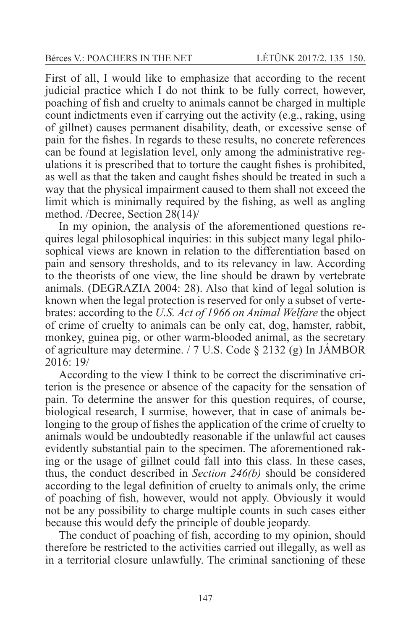First of all, I would like to emphasize that according to the recent judicial practice which I do not think to be fully correct, however, poaching of fish and cruelty to animals cannot be charged in multiple count indictments even if carrying out the activity (e.g., raking, using of gillnet) causes permanent disability, death, or excessive sense of pain for the fishes. In regards to these results, no concrete references can be found at legislation level, only among the administrative regulations it is prescribed that to torture the caught fishes is prohibited, as well as that the taken and caught fishes should be treated in such a way that the physical impairment caused to them shall not exceed the limit which is minimally required by the fishing, as well as angling method. /Decree, Section 28(14)/

In my opinion, the analysis of the aforementioned questions requires legal philosophical inquiries: in this subject many legal philosophical views are known in relation to the differentiation based on pain and sensory thresholds, and to its relevancy in law. According to the theorists of one view, the line should be drawn by vertebrate animals. (DEGRAZIA 2004: 28). Also that kind of legal solution is known when the legal protection is reserved for only a subset of vertebrates: according to the *U.S. Act of 1966 on Animal Welfare* the object of crime of cruelty to animals can be only cat, dog, hamster, rabbit, monkey, guinea pig, or other warm-blooded animal, as the secretary of agriculture may determine. / 7 U.S. Code § 2132 (g) In JÁMBOR 2016: 19/

According to the view I think to be correct the discriminative criterion is the presence or absence of the capacity for the sensation of pain. To determine the answer for this question requires, of course, biological research, I surmise, however, that in case of animals belonging to the group of fishes the application of the crime of cruelty to animals would be undoubtedly reasonable if the unlawful act causes evidently substantial pain to the specimen. The aforementioned raking or the usage of gillnet could fall into this class. In these cases, thus, the conduct described in *Section 246(b)* should be considered according to the legal definition of cruelty to animals only, the crime of poaching of fish, however, would not apply. Obviously it would not be any possibility to charge multiple counts in such cases either because this would defy the principle of double jeopardy.

The conduct of poaching of fish, according to my opinion, should therefore be restricted to the activities carried out illegally, as well as in a territorial closure unlawfully. The criminal sanctioning of these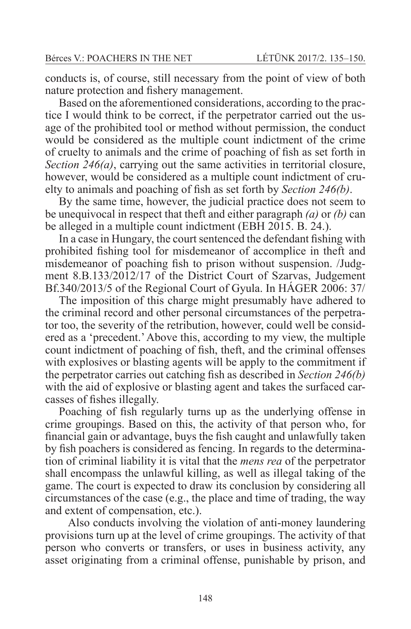conducts is, of course, still necessary from the point of view of both nature protection and fishery management.

Based on the aforementioned considerations, according to the practice I would think to be correct, if the perpetrator carried out the usage of the prohibited tool or method without permission, the conduct would be considered as the multiple count indictment of the crime of cruelty to animals and the crime of poaching of fish as set forth in *Section 246(a)*, carrying out the same activities in territorial closure, however, would be considered as a multiple count indictment of cruelty to animals and poaching of fish as set forth by *Section 246(b)*.

By the same time, however, the judicial practice does not seem to be unequivocal in respect that theft and either paragraph *(a)* or *(b)* can be alleged in a multiple count indictment (EBH 2015. B. 24.).

In a case in Hungary, the court sentenced the defendant fishing with prohibited fishing tool for misdemeanor of accomplice in theft and misdemeanor of poaching fish to prison without suspension. /Judgment 8.B.133/2012/17 of the District Court of Szarvas, Judgement Bf.340/2013/5 of the Regional Court of Gyula. In HÁGER 2006: 37/

The imposition of this charge might presumably have adhered to the criminal record and other personal circumstances of the perpetrator too, the severity of the retribution, however, could well be considered as a 'precedent.' Above this, according to my view, the multiple count indictment of poaching of fish, theft, and the criminal offenses with explosives or blasting agents will be apply to the commitment if the perpetrator carries out catching fish as described in *Section 246(b)* with the aid of explosive or blasting agent and takes the surfaced carcasses of fishes illegally.

Poaching of fish regularly turns up as the underlying offense in crime groupings. Based on this, the activity of that person who, for financial gain or advantage, buys the fish caught and unlawfully taken by fish poachers is considered as fencing. In regards to the determination of criminal liability it is vital that the *mens rea* of the perpetrator shall encompass the unlawful killing, as well as illegal taking of the game. The court is expected to draw its conclusion by considering all circumstances of the case (e.g., the place and time of trading, the way and extent of compensation, etc.).

 Also conducts involving the violation of anti-money laundering provisions turn up at the level of crime groupings. The activity of that person who converts or transfers, or uses in business activity, any asset originating from a criminal offense, punishable by prison, and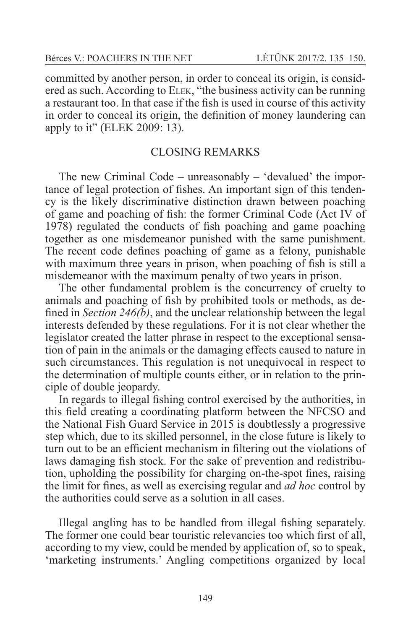committed by another person, in order to conceal its origin, is considered as such. According to Elek, "the business activity can be running a restaurant too. In that case if the fish is used in course of this activity in order to conceal its origin, the definition of money laundering can apply to it" (ELEK 2009: 13).

# CLOSING REMARKS

The new Criminal Code – unreasonably – 'devalued' the importance of legal protection of fishes. An important sign of this tendency is the likely discriminative distinction drawn between poaching of game and poaching of fish: the former Criminal Code (Act IV of 1978) regulated the conducts of fish poaching and game poaching together as one misdemeanor punished with the same punishment. The recent code defines poaching of game as a felony, punishable with maximum three years in prison, when poaching of fish is still a misdemeanor with the maximum penalty of two years in prison.

The other fundamental problem is the concurrency of cruelty to animals and poaching of fish by prohibited tools or methods, as defined in *Section 246(b)*, and the unclear relationship between the legal interests defended by these regulations. For it is not clear whether the legislator created the latter phrase in respect to the exceptional sensation of pain in the animals or the damaging effects caused to nature in such circumstances. This regulation is not unequivocal in respect to the determination of multiple counts either, or in relation to the principle of double jeopardy.

In regards to illegal fishing control exercised by the authorities, in this field creating a coordinating platform between the NFCSO and the National Fish Guard Service in 2015 is doubtlessly a progressive step which, due to its skilled personnel, in the close future is likely to turn out to be an efficient mechanism in filtering out the violations of laws damaging fish stock. For the sake of prevention and redistribution, upholding the possibility for charging on-the-spot fines, raising the limit for fines, as well as exercising regular and *ad hoc* control by the authorities could serve as a solution in all cases.

Illegal angling has to be handled from illegal fishing separately. The former one could bear touristic relevancies too which first of all, according to my view, could be mended by application of, so to speak, 'marketing instruments.' Angling competitions organized by local